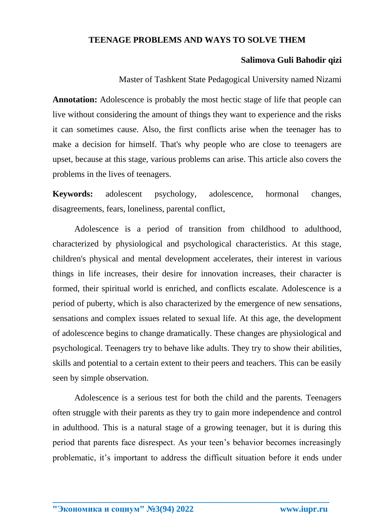## **TEENAGE PROBLEMS AND WAYS TO SOLVE THEM**

## **Salimova Guli Bahodir qizi**

Master of Tashkent State Pedagogical University named Nizami

**Annotation:** Adolescence is probably the most hectic stage of life that people can live without considering the amount of things they want to experience and the risks it can sometimes cause. Also, the first conflicts arise when the teenager has to make a decision for himself. That's why people who are close to teenagers are upset, because at this stage, various problems can arise. This article also covers the problems in the lives of teenagers.

**Keywords:** adolescent psychology, adolescence, hormonal changes, disagreements, fears, loneliness, parental conflict,

Adolescence is a period of transition from childhood to adulthood, characterized by physiological and psychological characteristics. At this stage, children's physical and mental development accelerates, their interest in various things in life increases, their desire for innovation increases, their character is formed, their spiritual world is enriched, and conflicts escalate. Adolescence is a period of puberty, which is also characterized by the emergence of new sensations, sensations and complex issues related to sexual life. At this age, the development of adolescence begins to change dramatically. These changes are physiological and psychological. Teenagers try to behave like adults. They try to show their abilities, skills and potential to a certain extent to their peers and teachers. This can be easily seen by simple observation.

Adolescence is a serious test for both the child and the parents. Teenagers often struggle with their parents as they try to gain more independence and control in adulthood. This is a natural stage of a growing teenager, but it is during this period that parents face disrespect. As your teen's behavior becomes increasingly problematic, it's important to address the difficult situation before it ends under

**\_\_\_\_\_\_\_\_\_\_\_\_\_\_\_\_\_\_\_\_\_\_\_\_\_\_\_\_\_\_\_\_\_\_\_\_\_\_\_\_\_\_\_\_\_\_\_\_\_\_\_\_\_\_\_\_\_\_\_\_\_\_\_\_**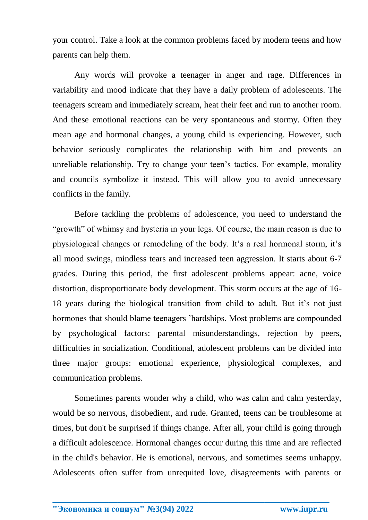your control. Take a look at the common problems faced by modern teens and how parents can help them.

Any words will provoke a teenager in anger and rage. Differences in variability and mood indicate that they have a daily problem of adolescents. The teenagers scream and immediately scream, heat their feet and run to another room. And these emotional reactions can be very spontaneous and stormy. Often they mean age and hormonal changes, a young child is experiencing. However, such behavior seriously complicates the relationship with him and prevents an unreliable relationship. Try to change your teen's tactics. For example, morality and councils symbolize it instead. This will allow you to avoid unnecessary conflicts in the family.

Before tackling the problems of adolescence, you need to understand the "growth" of whimsy and hysteria in your legs. Of course, the main reason is due to physiological changes or remodeling of the body. It's a real hormonal storm, it's all mood swings, mindless tears and increased teen aggression. It starts about 6-7 grades. During this period, the first adolescent problems appear: acne, voice distortion, disproportionate body development. This storm occurs at the age of 16- 18 years during the biological transition from child to adult. But it's not just hormones that should blame teenagers 'hardships. Most problems are compounded by psychological factors: parental misunderstandings, rejection by peers, difficulties in socialization. Conditional, adolescent problems can be divided into three major groups: emotional experience, physiological complexes, and communication problems.

Sometimes parents wonder why a child, who was calm and calm yesterday, would be so nervous, disobedient, and rude. Granted, teens can be troublesome at times, but don't be surprised if things change. After all, your child is going through a difficult adolescence. Hormonal changes occur during this time and are reflected in the child's behavior. He is emotional, nervous, and sometimes seems unhappy. Adolescents often suffer from unrequited love, disagreements with parents or

**\_\_\_\_\_\_\_\_\_\_\_\_\_\_\_\_\_\_\_\_\_\_\_\_\_\_\_\_\_\_\_\_\_\_\_\_\_\_\_\_\_\_\_\_\_\_\_\_\_\_\_\_\_\_\_\_\_\_\_\_\_\_\_\_**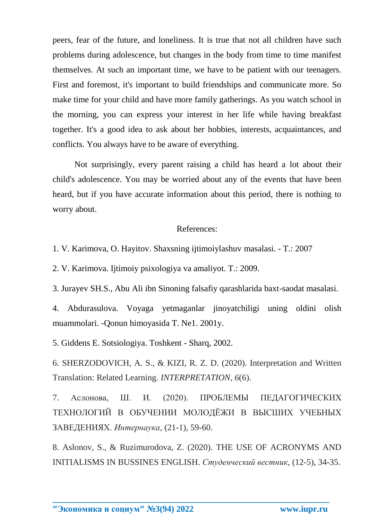peers, fear of the future, and loneliness. It is true that not all children have such problems during adolescence, but changes in the body from time to time manifest themselves. At such an important time, we have to be patient with our teenagers. First and foremost, it's important to build friendships and communicate more. So make time for your child and have more family gatherings. As you watch school in the morning, you can express your interest in her life while having breakfast together. It's a good idea to ask about her hobbies, interests, acquaintances, and conflicts. You always have to be aware of everything.

Not surprisingly, every parent raising a child has heard a lot about their child's adolescence. You may be worried about any of the events that have been heard, but if you have accurate information about this period, there is nothing to worry about.

## References:

1. V. Karimova, O. Hayitov. Shaxsning ijtimoiylashuv masalasi. - T.: 2007

2. V. Karimova. Ijtimoiy psixologiya va amaliyot. T.: 2009.

3. Jurayev SH.S., Abu Ali ibn Sinoning falsafiy qarashlarida baxt-saodat masalasi.

4. Abdurasulova. Voyaga yetmaganlar jinoyatchiligi uning oldini olish muammolari. -Qonun himoyasida T. Ne1. 2001y.

5. Giddens E. Sotsiologiya. Toshkent - Sharq, 2002.

6. SHERZODOVICH, A. S., & KIZI, R. Z. D. (2020). Interpretation and Written Translation: Related Learning. *INTERPRETATION*, *6*(6).

7. Аслонова, Ш. И. (2020). ПРОБЛЕМЫ ПЕДАГОГИЧЕСКИХ ТЕХНОЛОГИЙ В ОБУЧЕНИИ МОЛОДЁЖИ В ВЫСШИХ УЧЕБНЫХ ЗАВЕДЕНИЯХ. *Интернаука*, (21-1), 59-60.

8. Aslonov, S., & Ruzimurodova, Z. (2020). THE USE OF ACRONYMS AND INITIALISMS IN BUSSINES ENGLISH. *Студенческий вестник*, (12-5), 34-35.

**\_\_\_\_\_\_\_\_\_\_\_\_\_\_\_\_\_\_\_\_\_\_\_\_\_\_\_\_\_\_\_\_\_\_\_\_\_\_\_\_\_\_\_\_\_\_\_\_\_\_\_\_\_\_\_\_\_\_\_\_\_\_\_\_**